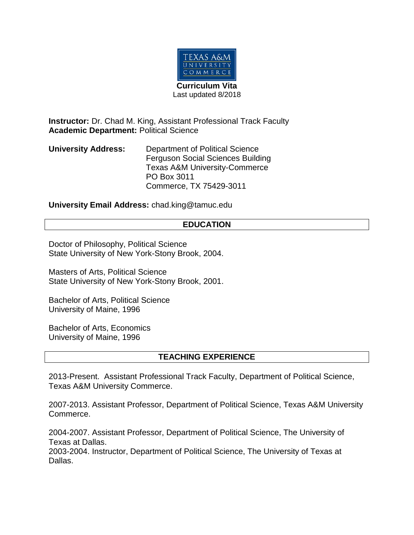

**Instructor:** Dr. Chad M. King, Assistant Professional Track Faculty **Academic Department:** Political Science

**University Address:** Department of Political Science Ferguson Social Sciences Building Texas A&M University-Commerce PO Box 3011 Commerce, TX 75429-3011

**University Email Address:** chad.king@tamuc.edu

## **EDUCATION**

Doctor of Philosophy, Political Science State University of New York-Stony Brook, 2004.

Masters of Arts, Political Science State University of New York-Stony Brook, 2001.

Bachelor of Arts, Political Science University of Maine, 1996

Bachelor of Arts, Economics University of Maine, 1996

## **TEACHING EXPERIENCE**

2013-Present. Assistant Professional Track Faculty, Department of Political Science, Texas A&M University Commerce.

2007-2013. Assistant Professor, Department of Political Science, Texas A&M University Commerce.

2004-2007. Assistant Professor, Department of Political Science, The University of Texas at Dallas.

2003-2004. Instructor, Department of Political Science, The University of Texas at Dallas.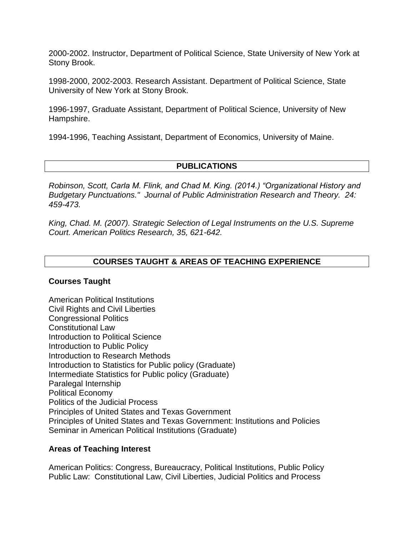2000-2002. Instructor, Department of Political Science, State University of New York at Stony Brook.

1998-2000, 2002-2003. Research Assistant. Department of Political Science, State University of New York at Stony Brook.

1996-1997, Graduate Assistant, Department of Political Science, University of New Hampshire.

1994-1996, Teaching Assistant, Department of Economics, University of Maine.

## **PUBLICATIONS**

*Robinson, Scott, Carla M. Flink, and Chad M. King. (2014.) "Organizational History and Budgetary Punctuations." Journal of Public Administration Research and Theory. 24: 459-473.*

*King, Chad. M. (2007). Strategic Selection of Legal Instruments on the U.S. Supreme Court. American Politics Research, 35, 621-642.*

## **COURSES TAUGHT & AREAS OF TEACHING EXPERIENCE**

## **Courses Taught**

American Political Institutions Civil Rights and Civil Liberties Congressional Politics Constitutional Law Introduction to Political Science Introduction to Public Policy Introduction to Research Methods Introduction to Statistics for Public policy (Graduate) Intermediate Statistics for Public policy (Graduate) Paralegal Internship Political Economy Politics of the Judicial Process Principles of United States and Texas Government Principles of United States and Texas Government: Institutions and Policies Seminar in American Political Institutions (Graduate)

## **Areas of Teaching Interest**

American Politics: Congress, Bureaucracy, Political Institutions, Public Policy Public Law: Constitutional Law, Civil Liberties, Judicial Politics and Process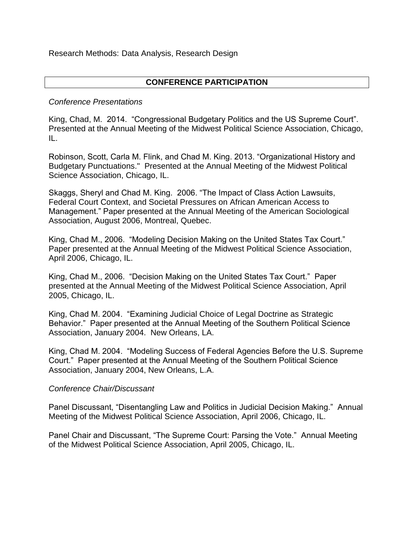Research Methods: Data Analysis, Research Design

## **CONFERENCE PARTICIPATION**

## *Conference Presentations*

King, Chad, M. 2014. "Congressional Budgetary Politics and the US Supreme Court". Presented at the Annual Meeting of the Midwest Political Science Association, Chicago, IL.

Robinson, Scott, Carla M. Flink, and Chad M. King. 2013. "Organizational History and Budgetary Punctuations." Presented at the Annual Meeting of the Midwest Political Science Association, Chicago, IL.

Skaggs, Sheryl and Chad M. King. 2006. "The Impact of Class Action Lawsuits, Federal Court Context, and Societal Pressures on African American Access to Management." Paper presented at the Annual Meeting of the American Sociological Association, August 2006, Montreal, Quebec.

King, Chad M., 2006. "Modeling Decision Making on the United States Tax Court." Paper presented at the Annual Meeting of the Midwest Political Science Association, April 2006, Chicago, IL.

King, Chad M., 2006. "Decision Making on the United States Tax Court." Paper presented at the Annual Meeting of the Midwest Political Science Association, April 2005, Chicago, IL.

King, Chad M. 2004. "Examining Judicial Choice of Legal Doctrine as Strategic Behavior." Paper presented at the Annual Meeting of the Southern Political Science Association, January 2004. New Orleans, LA.

King, Chad M. 2004. "Modeling Success of Federal Agencies Before the U.S. Supreme Court." Paper presented at the Annual Meeting of the Southern Political Science Association, January 2004, New Orleans, L.A.

#### *Conference Chair/Discussant*

Panel Discussant, "Disentangling Law and Politics in Judicial Decision Making." Annual Meeting of the Midwest Political Science Association, April 2006, Chicago, IL.

Panel Chair and Discussant, "The Supreme Court: Parsing the Vote." Annual Meeting of the Midwest Political Science Association, April 2005, Chicago, IL.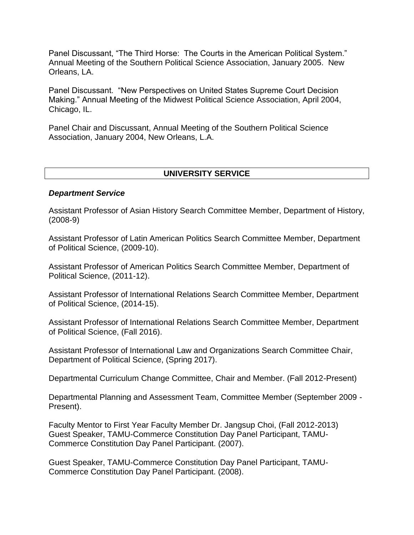Panel Discussant, "The Third Horse: The Courts in the American Political System." Annual Meeting of the Southern Political Science Association, January 2005. New Orleans, LA.

Panel Discussant. "New Perspectives on United States Supreme Court Decision Making." Annual Meeting of the Midwest Political Science Association, April 2004, Chicago, IL.

Panel Chair and Discussant, Annual Meeting of the Southern Political Science Association, January 2004, New Orleans, L.A.

### **UNIVERSITY SERVICE**

#### *Department Service*

Assistant Professor of Asian History Search Committee Member, Department of History, (2008-9)

Assistant Professor of Latin American Politics Search Committee Member, Department of Political Science, (2009-10).

Assistant Professor of American Politics Search Committee Member, Department of Political Science, (2011-12).

Assistant Professor of International Relations Search Committee Member, Department of Political Science, (2014-15).

Assistant Professor of International Relations Search Committee Member, Department of Political Science, (Fall 2016).

Assistant Professor of International Law and Organizations Search Committee Chair, Department of Political Science, (Spring 2017).

Departmental Curriculum Change Committee, Chair and Member. (Fall 2012-Present)

Departmental Planning and Assessment Team, Committee Member (September 2009 - Present).

Faculty Mentor to First Year Faculty Member Dr. Jangsup Choi, (Fall 2012-2013) Guest Speaker, TAMU-Commerce Constitution Day Panel Participant, TAMU-Commerce Constitution Day Panel Participant. (2007).

Guest Speaker, TAMU-Commerce Constitution Day Panel Participant, TAMU-Commerce Constitution Day Panel Participant. (2008).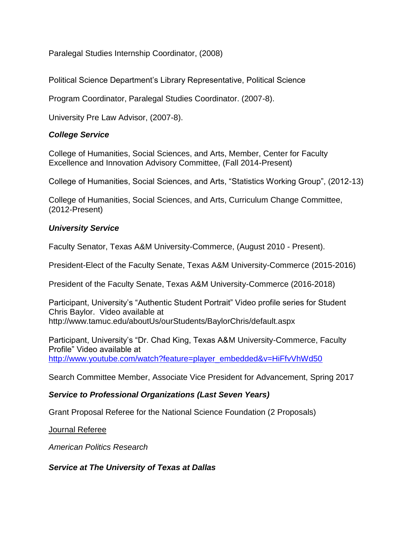Paralegal Studies Internship Coordinator, (2008)

Political Science Department's Library Representative, Political Science

Program Coordinator, Paralegal Studies Coordinator. (2007-8).

University Pre Law Advisor, (2007-8).

## *College Service*

College of Humanities, Social Sciences, and Arts, Member, Center for Faculty Excellence and Innovation Advisory Committee, (Fall 2014-Present)

College of Humanities, Social Sciences, and Arts, "Statistics Working Group", (2012-13)

College of Humanities, Social Sciences, and Arts, Curriculum Change Committee, (2012-Present)

## *University Service*

Faculty Senator, Texas A&M University-Commerce, (August 2010 - Present).

President-Elect of the Faculty Senate, Texas A&M University-Commerce (2015-2016)

President of the Faculty Senate, Texas A&M University-Commerce (2016-2018)

Participant, University's "Authentic Student Portrait" Video profile series for Student Chris Baylor. Video available at http://www.tamuc.edu/aboutUs/ourStudents/BaylorChris/default.aspx

Participant, University's "Dr. Chad King, Texas A&M University-Commerce, Faculty Profile" Video available at [http://www.youtube.com/watch?feature=player\\_embedded&v=HiFfvVhWd50](http://www.youtube.com/watch?feature=player_embedded&v=HiFfvVhWd50)

Search Committee Member, Associate Vice President for Advancement, Spring 2017

# *Service to Professional Organizations (Last Seven Years)*

Grant Proposal Referee for the National Science Foundation (2 Proposals)

Journal Referee

*American Politics Research*

## *Service at The University of Texas at Dallas*